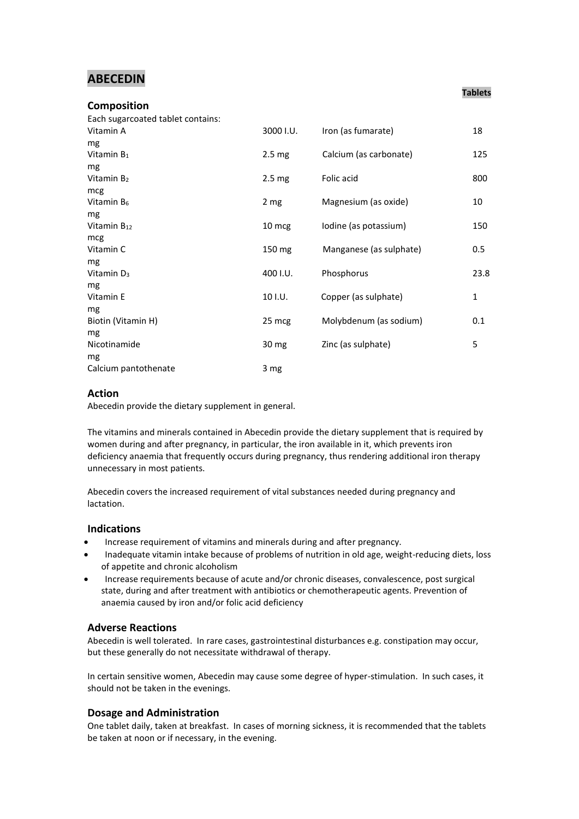# **ABECEDIN**

#### **Composition** Each sugarcoated tablet contains:

| Eduli sugartudieu tabiet contanis. |                   |                         |              |
|------------------------------------|-------------------|-------------------------|--------------|
| Vitamin A                          | 3000 I.U.         | Iron (as fumarate)      | 18           |
| mg                                 |                   |                         |              |
| Vitamin $B_1$                      | $2.5 \text{ mg}$  | Calcium (as carbonate)  | 125          |
| mg                                 |                   |                         |              |
| Vitamin B <sub>2</sub>             | 2.5 <sub>mg</sub> | Folic acid              | 800          |
| mcg                                |                   |                         |              |
| Vitamin B <sub>6</sub>             | 2 <sub>mg</sub>   | Magnesium (as oxide)    | 10           |
| mg                                 |                   |                         |              |
| Vitamin $B_{12}$                   | 10 mcg            | Iodine (as potassium)   | 150          |
| mcg                                |                   |                         |              |
| Vitamin C                          | $150 \text{ mg}$  | Manganese (as sulphate) | 0.5          |
| mg                                 |                   |                         |              |
| Vitamin D <sub>3</sub>             | 400 I.U.          | Phosphorus              | 23.8         |
| mg                                 |                   |                         |              |
| Vitamin E                          | 10 I.U.           | Copper (as sulphate)    | $\mathbf{1}$ |
| mg                                 |                   |                         |              |
| Biotin (Vitamin H)                 | 25 mcg            | Molybdenum (as sodium)  | 0.1          |
| mg                                 |                   |                         |              |
| Nicotinamide                       | $30 \text{ mg}$   | Zinc (as sulphate)      | 5            |
| mg                                 |                   |                         |              |
| Calcium pantothenate               | 3 <sub>mg</sub>   |                         |              |

# **Action**

Abecedin provide the dietary supplement in general.

The vitamins and minerals contained in Abecedin provide the dietary supplement that is required by women during and after pregnancy, in particular, the iron available in it, which prevents iron deficiency anaemia that frequently occurs during pregnancy, thus rendering additional iron therapy unnecessary in most patients.

Abecedin covers the increased requirement of vital substances needed during pregnancy and lactation.

# **Indications**

- Increase requirement of vitamins and minerals during and after pregnancy.
- Inadequate vitamin intake because of problems of nutrition in old age, weight-reducing diets, loss of appetite and chronic alcoholism
- Increase requirements because of acute and/or chronic diseases, convalescence, post surgical state, during and after treatment with antibiotics or chemotherapeutic agents. Prevention of anaemia caused by iron and/or folic acid deficiency

#### **Adverse Reactions**

Abecedin is well tolerated. In rare cases, gastrointestinal disturbances e.g. constipation may occur, but these generally do not necessitate withdrawal of therapy.

In certain sensitive women, Abecedin may cause some degree of hyper-stimulation. In such cases, it should not be taken in the evenings.

# **Dosage and Administration**

One tablet daily, taken at breakfast. In cases of morning sickness, it is recommended that the tablets be taken at noon or if necessary, in the evening.

### **Tablets**